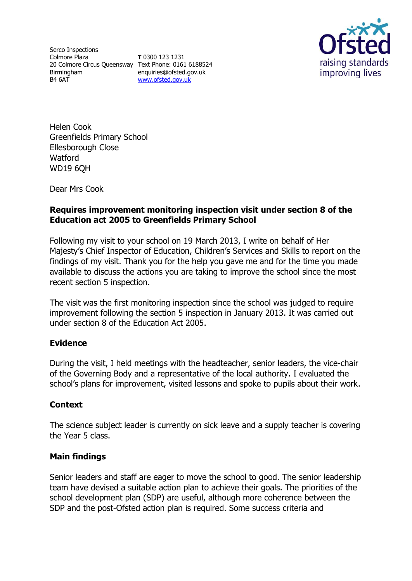Serco Inspections Colmore Plaza 20 Colmore Circus Queensway Text Phone: 0161 6188524 Birmingham B4 6AT

**T** 0300 123 1231 enquiries@ofsted.gov.uk [www.ofsted.gov.uk](http://www.ofsted.gov.uk/)



Helen Cook Greenfields Primary School Ellesborough Close Watford WD19 6QH

Dear Mrs Cook

# **Requires improvement monitoring inspection visit under section 8 of the Education act 2005 to Greenfields Primary School**

Following my visit to your school on 19 March 2013, I write on behalf of Her Majesty's Chief Inspector of Education, Children's Services and Skills to report on the findings of my visit. Thank you for the help you gave me and for the time you made available to discuss the actions you are taking to improve the school since the most recent section 5 inspection.

The visit was the first monitoring inspection since the school was judged to require improvement following the section 5 inspection in January 2013. It was carried out under section 8 of the Education Act 2005.

# **Evidence**

During the visit, I held meetings with the headteacher, senior leaders, the vice-chair of the Governing Body and a representative of the local authority. I evaluated the school's plans for improvement, visited lessons and spoke to pupils about their work.

# **Context**

The science subject leader is currently on sick leave and a supply teacher is covering the Year 5 class.

# **Main findings**

Senior leaders and staff are eager to move the school to good. The senior leadership team have devised a suitable action plan to achieve their goals. The priorities of the school development plan (SDP) are useful, although more coherence between the SDP and the post-Ofsted action plan is required. Some success criteria and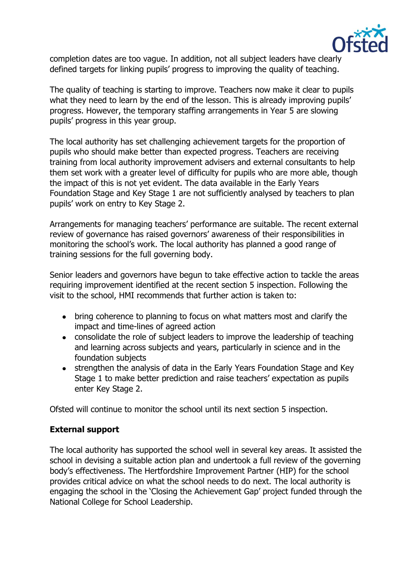

completion dates are too vague. In addition, not all subject leaders have clearly defined targets for linking pupils' progress to improving the quality of teaching.

The quality of teaching is starting to improve. Teachers now make it clear to pupils what they need to learn by the end of the lesson. This is already improving pupils' progress. However, the temporary staffing arrangements in Year 5 are slowing pupils' progress in this year group.

The local authority has set challenging achievement targets for the proportion of pupils who should make better than expected progress. Teachers are receiving training from local authority improvement advisers and external consultants to help them set work with a greater level of difficulty for pupils who are more able, though the impact of this is not yet evident. The data available in the Early Years Foundation Stage and Key Stage 1 are not sufficiently analysed by teachers to plan pupils' work on entry to Key Stage 2.

Arrangements for managing teachers' performance are suitable. The recent external review of governance has raised governors' awareness of their responsibilities in monitoring the school's work. The local authority has planned a good range of training sessions for the full governing body.

Senior leaders and governors have begun to take effective action to tackle the areas requiring improvement identified at the recent section 5 inspection. Following the visit to the school, HMI recommends that further action is taken to:

- bring coherence to planning to focus on what matters most and clarify the impact and time-lines of agreed action
- consolidate the role of subject leaders to improve the leadership of teaching and learning across subjects and years, particularly in science and in the foundation subjects
- strengthen the analysis of data in the Early Years Foundation Stage and Key Stage 1 to make better prediction and raise teachers' expectation as pupils enter Key Stage 2.

Ofsted will continue to monitor the school until its next section 5 inspection.

# **External support**

The local authority has supported the school well in several key areas. It assisted the school in devising a suitable action plan and undertook a full review of the governing body's effectiveness. The Hertfordshire Improvement Partner (HIP) for the school provides critical advice on what the school needs to do next. The local authority is engaging the school in the 'Closing the Achievement Gap' project funded through the National College for School Leadership.